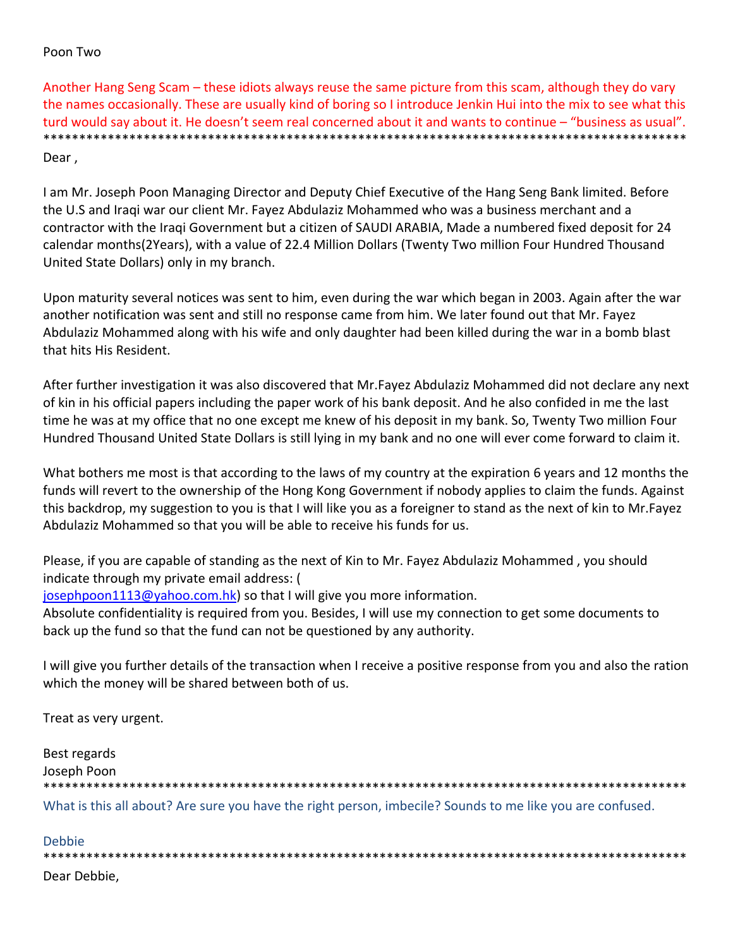## Poon Two

Another Hang Seng Scam – these idiots always reuse the same picture from this scam, although they do vary the names occasionally. These are usually kind of boring so I introduce Jenkin Hui into the mix to see what this turd would say about it. He doesn't seem real concerned about it and wants to continue – "business as usual". \*\*\*\*\*\*\*\*\*\*\*\*\*\*\*\*\*\*\*\*\*\*\*\*\*\*\*\*\*\*\*\*\*\*\*\*\*\*\*\*\*\*\*\*\*\*\*\*\*\*\*\*\*\*\*\*\*\*\*\*\*\*\*\*\*\*\*\*\*\*\*\*\*\*\*\*\*\*\*\*\*\*\*\*\*\*\*\*\*\* Dear ,

I am Mr. Joseph Poon Managing Director and Deputy Chief Executive of the Hang Seng Bank limited. Before the U.S and Iraqi war our client Mr. Fayez Abdulaziz Mohammed who was a business merchant and a contractor with the Iraqi Government but a citizen of SAUDI ARABIA, Made a numbered fixed deposit for 24 calendar months(2Years), with a value of 22.4 Million Dollars (Twenty Two million Four Hundred Thousand United State Dollars) only in my branch.

Upon maturity several notices was sent to him, even during the war which began in 2003. Again after the war another notification was sent and still no response came from him. We later found out that Mr. Fayez Abdulaziz Mohammed along with his wife and only daughter had been killed during the war in a bomb blast that hits His Resident.

After further investigation it was also discovered that Mr.Fayez Abdulaziz Mohammed did not declare any next of kin in his official papers including the paper work of his bank deposit. And he also confided in me the last time he was at my office that no one except me knew of his deposit in my bank. So, Twenty Two million Four Hundred Thousand United State Dollars is still lying in my bank and no one will ever come forward to claim it.

What bothers me most is that according to the laws of my country at the expiration 6 years and 12 months the funds will revert to the ownership of the Hong Kong Government if nobody applies to claim the funds. Against this backdrop, my suggestion to you is that I will like you as a foreigner to stand as the next of kin to Mr.Fayez Abdulaziz Mohammed so that you will be able to receive his funds for us.

Please, if you are capable of standing as the next of Kin to Mr. Fayez Abdulaziz Mohammed , you should indicate through my private email address: (

josephpoon1113@yahoo.com.hk) so that I will give you more information.

Absolute confidentiality is required from you. Besides, I will use my connection to get some documents to back up the fund so that the fund can not be questioned by any authority.

I will give you further details of the transaction when I receive a positive response from you and also the ration which the money will be shared between both of us.

Treat as very urgent.

Best regards Joseph Poon \*\*\*\*\*\*\*\*\*\*\*\*\*\*\*\*\*\*\*\*\*\*\*\*\*\*\*\*\*\*\*\*\*\*\*\*\*\*\*\*\*\*\*\*\*\*\*\*\*\*\*\*\*\*\*\*\*\*\*\*\*\*\*\*\*\*\*\*\*\*\*\*\*\*\*\*\*\*\*\*\*\*\*\*\*\*\*\*\*\* What is this all about? Are sure you have the right person, imbecile? Sounds to me like you are confused.

Debbie \*\*\*\*\*\*\*\*\*\*\*\*\*\*\*\*\*\*\*\*\*\*\*\*\*\*\*\*\*\*\*\*\*\*\*\*\*\*\*\*\*\*\*\*\*\*\*\*\*\*\*\*\*\*\*\*\*\*\*\*\*\*\*\*\*\*\*\*\*\*\*\*\*\*\*\*\*\*\*\*\*\*\*\*\*\*\*\*\*\* Dear Debbie,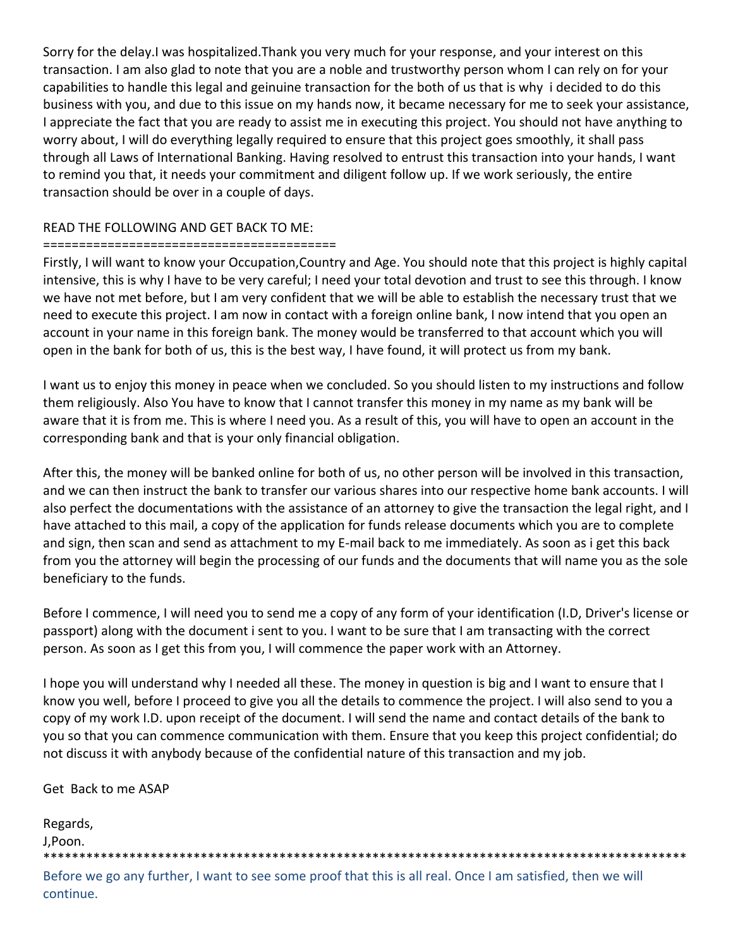Sorry for the delay.I was hospitalized.Thank you very much for your response, and your interest on this transaction. I am also glad to note that you are a noble and trustworthy person whom I can rely on for your capabilities to handle this legal and geinuine transaction for the both of us that is why i decided to do this business with you, and due to this issue on my hands now, it became necessary for me to seek your assistance, I appreciate the fact that you are ready to assist me in executing this project. You should not have anything to worry about, I will do everything legally required to ensure that this project goes smoothly, it shall pass through all Laws of International Banking. Having resolved to entrust this transaction into your hands, I want to remind you that, it needs your commitment and diligent follow up. If we work seriously, the entire transaction should be over in a couple of days.

# READ THE FOLLOWING AND GET BACK TO ME:

## =========================================

Firstly, I will want to know your Occupation,Country and Age. You should note that this project is highly capital intensive, this is why I have to be very careful; I need your total devotion and trust to see this through. I know we have not met before, but I am very confident that we will be able to establish the necessary trust that we need to execute this project. I am now in contact with a foreign online bank, I now intend that you open an account in your name in this foreign bank. The money would be transferred to that account which you will open in the bank for both of us, this is the best way, I have found, it will protect us from my bank.

I want us to enjoy this money in peace when we concluded. So you should listen to my instructions and follow them religiously. Also You have to know that I cannot transfer this money in my name as my bank will be aware that it is from me. This is where I need you. As a result of this, you will have to open an account in the corresponding bank and that is your only financial obligation.

After this, the money will be banked online for both of us, no other person will be involved in this transaction, and we can then instruct the bank to transfer our various shares into our respective home bank accounts. I will also perfect the documentations with the assistance of an attorney to give the transaction the legal right, and I have attached to this mail, a copy of the application for funds release documents which you are to complete and sign, then scan and send as attachment to my E‐mail back to me immediately. As soon as i get this back from you the attorney will begin the processing of our funds and the documents that will name you as the sole beneficiary to the funds.

Before I commence, I will need you to send me a copy of any form of your identification (I.D, Driver's license or passport) along with the document i sent to you. I want to be sure that I am transacting with the correct person. As soon as I get this from you, I will commence the paper work with an Attorney.

I hope you will understand why I needed all these. The money in question is big and I want to ensure that I know you well, before I proceed to give you all the details to commence the project. I will also send to you a copy of my work I.D. upon receipt of the document. I will send the name and contact details of the bank to you so that you can commence communication with them. Ensure that you keep this project confidential; do not discuss it with anybody because of the confidential nature of this transaction and my job.

Get Back to me ASAP

| Regards, |
|----------|
| J,Poon.  |
|          |

Before we go any further, I want to see some proof that this is all real. Once I am satisfied, then we will continue.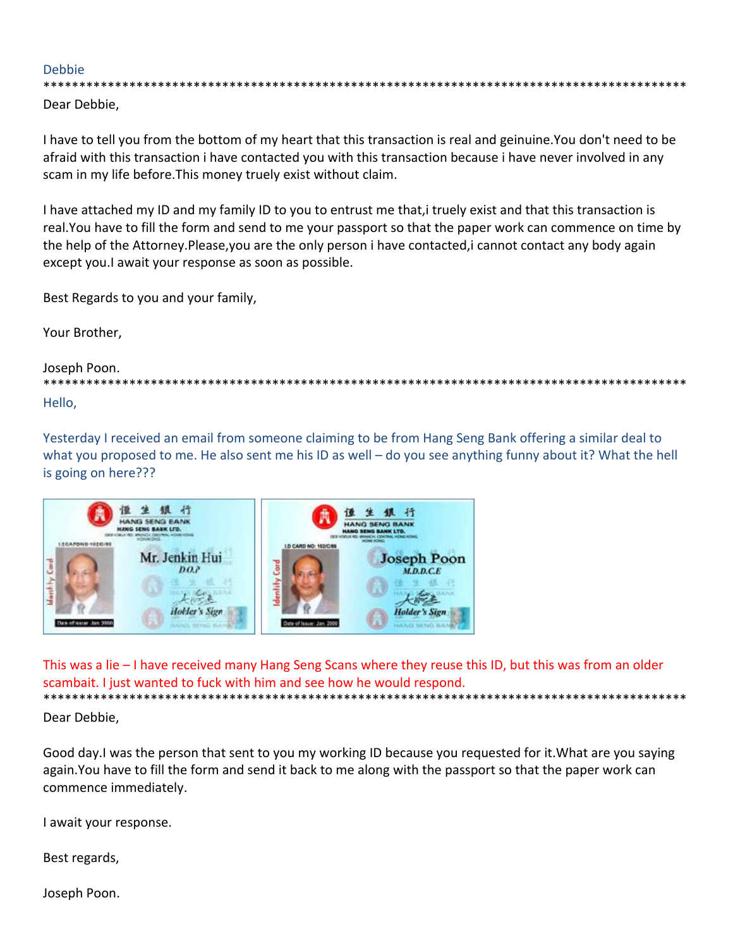## **Debbie**

\*\*\*\*\*\*\*\*\*\*\*

Dear Debbie,

I have to tell you from the bottom of my heart that this transaction is real and geinuine. You don't need to be afraid with this transaction i have contacted you with this transaction because i have never involved in any scam in my life before. This money truely exist without claim.

I have attached my ID and my family ID to you to entrust me that, i truely exist and that this transaction is real. You have to fill the form and send to me your passport so that the paper work can commence on time by the help of the Attorney.Please, you are the only person i have contacted, i cannot contact any body again except you.I await your response as soon as possible.

Best Regards to you and your family,

Your Brother,

Joseph Poon.

\*\*\*\*\*\*\*\*\*\*\*\*\*\* Hello.

Yesterday I received an email from someone claiming to be from Hang Seng Bank offering a similar deal to what you proposed to me. He also sent me his ID as well – do you see anything funny about it? What the hell is going on here???



This was a lie - I have received many Hang Seng Scans where they reuse this ID, but this was from an older scambait. I just wanted to fuck with him and see how he would respond. \*\*\*\*\*\*\*\*\*\*\*\*\*\*\*\*\*\*\*\*\*\*\*\*\*\*\*\*\*\*\*\*\*\*\*

Dear Debbie,

Good day. I was the person that sent to you my working ID because you requested for it. What are you saying again. You have to fill the form and send it back to me along with the passport so that the paper work can commence immediately.

I await your response.

Best regards,

Joseph Poon.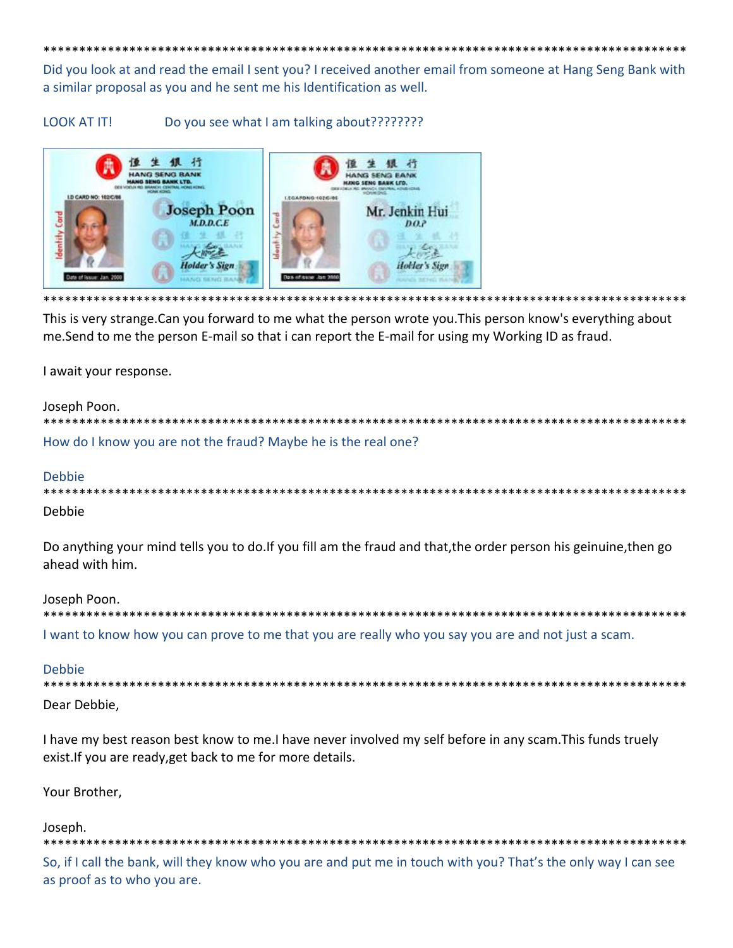Did you look at and read the email I sent you? I received another email from someone at Hang Seng Bank with a similar proposal as you and he sent me his Identification as well.

**LOOK AT IT!** Do you see what I am talking about?????????



This is very strange. Can you forward to me what the person wrote you. This person know's everything about me. Send to me the person E-mail so that i can report the E-mail for using my Working ID as fraud.

I await your response.

#### Joseph Poon.

\*\*\*\*\*\*\*\*\*\*\*\*\*\*\*\*\*\* How do I know you are not the fraud? Maybe he is the real one?

## Debbie

| Debbie |  |
|--------|--|

Do anything your mind tells you to do. If you fill am the fraud and that, the order person his geinuine, then go ahead with him.

Joseph Poon.

\*\*\*\*\*\*\*\*\*\*\*\*\*\*\*\*\* I want to know how you can prove to me that you are really who you say you are and not just a scam.

## **Debbie**

\*\*\*\*\*\*\*\*\*\*

Dear Debbie,

I have my best reason best know to me. I have never involved my self before in any scam. This funds truely exist. If you are ready, get back to me for more details.

Your Brother,

Joseph.

So, if I call the bank, will they know who you are and put me in touch with you? That's the only way I can see as proof as to who you are.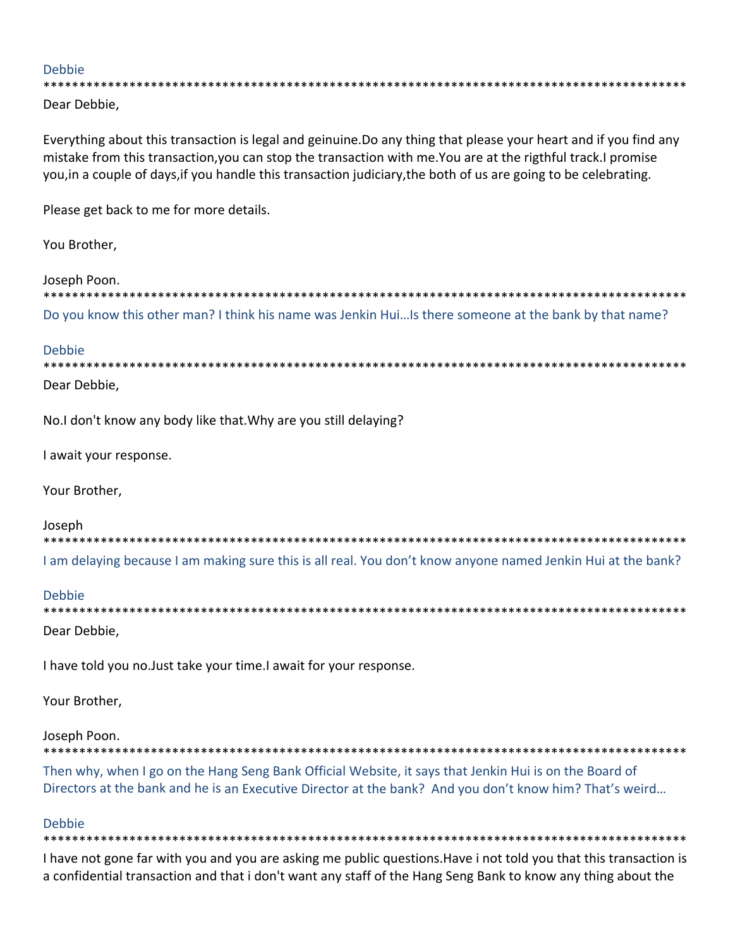## **Debbie**

\*\*\*\*\*\*\*\*\*\*\*\*\*\*\*\*\*\*\*\*\*\*\*\*\* \*\*\*\*\*\*\*\*\*\*\*\*\*\*\*\*\*\*\*\*\*\*\*\*\*\*\*\*\*\*\*\*\*

Dear Debbie,

Everything about this transaction is legal and geinuine. Do any thing that please your heart and if you find any mistake from this transaction, you can stop the transaction with me. You are at the rigthful track. I promise you, in a couple of days, if you handle this transaction judiciary, the both of us are going to be celebrating.

Please get back to me for more details.

You Brother,

## Joseph Poon.

Do you know this other man? I think his name was Jenkin Hui...Is there someone at the bank by that name?

## **Debbie**

\*\*\*\*\*\*\*\*\*\*\* Dear Debbie.

No.I don't know any body like that. Why are you still delaying?

I await your response.

Your Brother,

## Joseph

| I am delaying because I am making sure this is all real. You don't know anyone named Jenkin Hui at the bank? |
|--------------------------------------------------------------------------------------------------------------|

| Debbie |  |  |
|--------|--|--|
|        |  |  |

Dear Debbie,

I have told you no. Just take your time. I await for your response.

Your Brother,

## Joseph Poon.

Then why, when I go on the Hang Seng Bank Official Website, it says that Jenkin Hui is on the Board of Directors at the bank and he is an Executive Director at the bank? And you don't know him? That's weird...

## Debbie

I have not gone far with you and you are asking me public questions. Have i not told you that this transaction is a confidential transaction and that i don't want any staff of the Hang Seng Bank to know any thing about the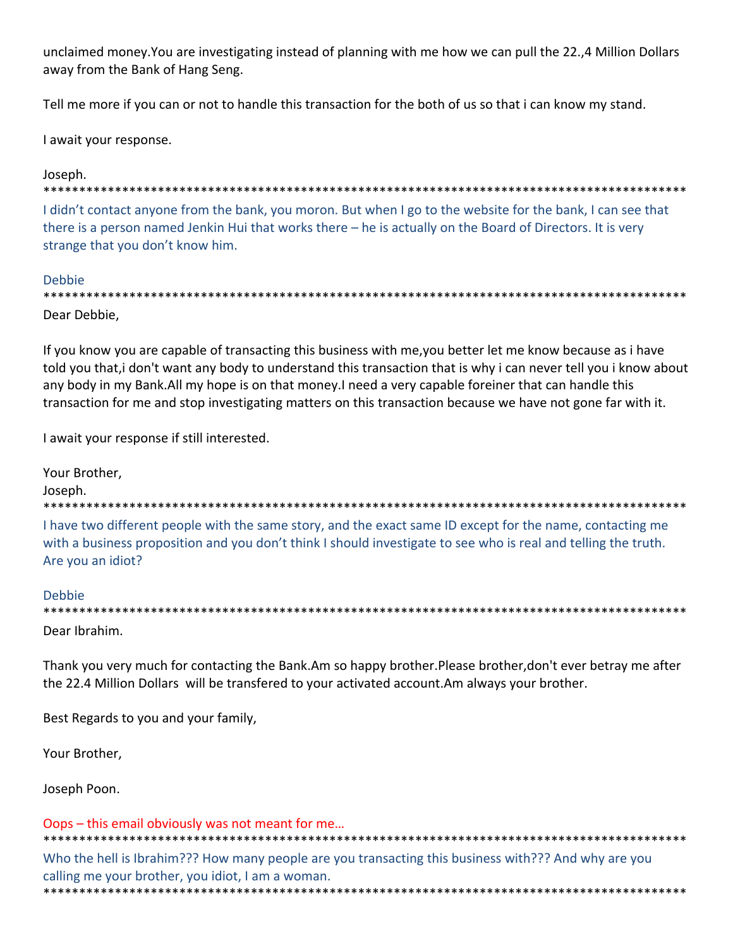unclaimed money. You are investigating instead of planning with me how we can pull the 22.,4 Million Dollars away from the Bank of Hang Seng.

Tell me more if you can or not to handle this transaction for the both of us so that i can know my stand.

I await your response.

## Joseph.

#### \*\*\*\*\*\*\*\*\*\*\*\*

I didn't contact anyone from the bank, you moron. But when I go to the website for the bank, I can see that there is a person named Jenkin Hui that works there - he is actually on the Board of Directors. It is very strange that you don't know him.

## **Debbie**

| Dear Debbie, |
|--------------|

If you know you are capable of transacting this business with me, you better let me know because as i have told you that, i don't want any body to understand this transaction that is why i can never tell you i know about any body in my Bank. All my hope is on that money. I need a very capable foreiner that can handle this transaction for me and stop investigating matters on this transaction because we have not gone far with it.

I await your response if still interested.

Your Brother, Joseph. 

I have two different people with the same story, and the exact same ID except for the name, contacting me with a business proposition and you don't think I should investigate to see who is real and telling the truth. Are you an idiot?

## Debbie

| _______ |
|---------|
|         |
|         |

Dear Ibrahim.

Thank you very much for contacting the Bank.Am so happy brother.Please brother, don't ever betray me after the 22.4 Million Dollars will be transfered to your activated account. Am always your brother.

Best Regards to you and your family,

Your Brother.

Joseph Poon.

#### Oops – this email obviously was not meant for me...

Who the hell is Ibrahim??? How many people are you transacting this business with??? And why are you calling me your brother, you idiot, I am a woman.